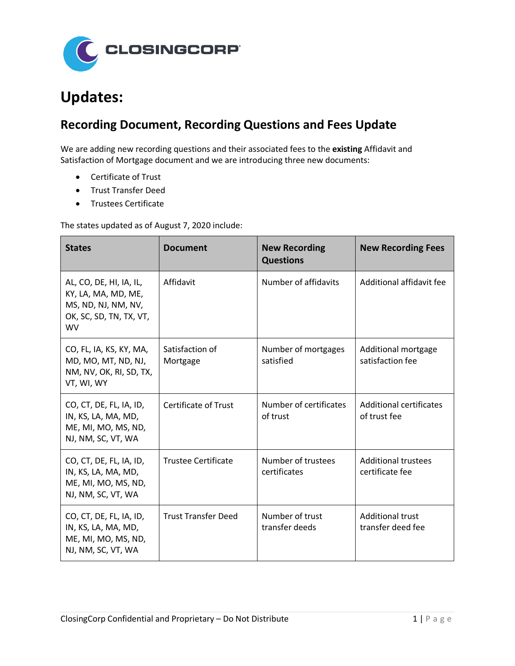

## **Updates:**

## **Recording Document, Recording Questions and Fees Update**

We are adding new recording questions and their associated fees to the **existing** Affidavit and Satisfaction of Mortgage document and we are introducing three new documents:

- Certificate of Trust
- Trust Transfer Deed
- Trustees Certificate

The states updated as of August 7, 2020 include:

| <b>States</b>                                                                                                 | <b>Document</b>             | <b>New Recording</b><br><b>Questions</b> | <b>New Recording Fees</b>                     |
|---------------------------------------------------------------------------------------------------------------|-----------------------------|------------------------------------------|-----------------------------------------------|
| AL, CO, DE, HI, IA, IL,<br>KY, LA, MA, MD, ME,<br>MS, ND, NJ, NM, NV,<br>OK, SC, SD, TN, TX, VT,<br><b>WV</b> | Affidavit                   | Number of affidavits                     | Additional affidavit fee                      |
| CO, FL, IA, KS, KY, MA,<br>MD, MO, MT, ND, NJ,<br>NM, NV, OK, RI, SD, TX,<br>VT, WI, WY                       | Satisfaction of<br>Mortgage | Number of mortgages<br>satisfied         | Additional mortgage<br>satisfaction fee       |
| CO, CT, DE, FL, IA, ID,<br>IN, KS, LA, MA, MD,<br>ME, MI, MO, MS, ND,<br>NJ, NM, SC, VT, WA                   | <b>Certificate of Trust</b> | Number of certificates<br>of trust       | Additional certificates<br>of trust fee       |
| CO, CT, DE, FL, IA, ID,<br>IN, KS, LA, MA, MD,<br>ME, MI, MO, MS, ND,<br>NJ, NM, SC, VT, WA                   | <b>Trustee Certificate</b>  | Number of trustees<br>certificates       | <b>Additional trustees</b><br>certificate fee |
| CO, CT, DE, FL, IA, ID,<br>IN, KS, LA, MA, MD,<br>ME, MI, MO, MS, ND,<br>NJ, NM, SC, VT, WA                   | <b>Trust Transfer Deed</b>  | Number of trust<br>transfer deeds        | <b>Additional trust</b><br>transfer deed fee  |